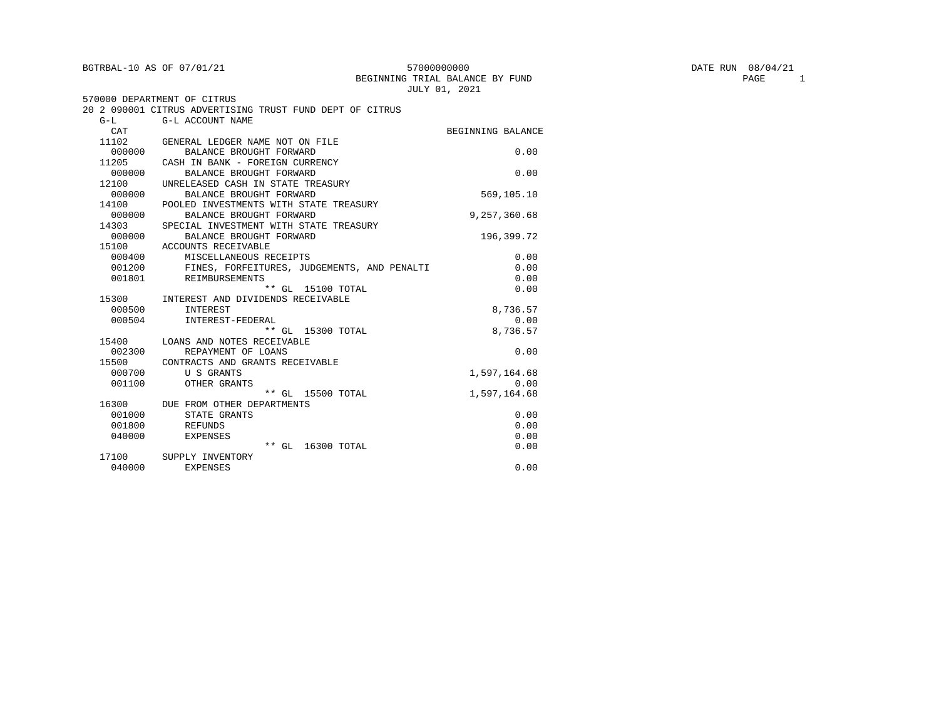| BGTRBAL-10 AS OF 07/01/21 |                                                          | 57000000000                     | DATE RUN 08/04/21 |
|---------------------------|----------------------------------------------------------|---------------------------------|-------------------|
|                           |                                                          | BEGINNING TRIAL BALANCE BY FUND | PAGE              |
|                           |                                                          | JULY 01, 2021                   |                   |
|                           | 570000 DEPARTMENT OF CITRUS                              |                                 |                   |
|                           | 20 2 090001 CITRUS ADVERTISING TRUST FUND DEPT OF CITRUS |                                 |                   |
| $G-L$                     | G-L ACCOUNT NAME                                         |                                 |                   |
| CAT                       |                                                          | BEGINNING BALANCE               |                   |
| 11102                     | GENERAL LEDGER NAME NOT ON FILE                          |                                 |                   |
| 000000                    | BALANCE BROUGHT FORWARD                                  | 0.00                            |                   |
| 11205                     | CASH IN BANK - FOREIGN CURRENCY                          |                                 |                   |
| 000000                    | BALANCE BROUGHT FORWARD                                  | 0.00                            |                   |
| 12100                     | UNRELEASED CASH IN STATE TREASURY                        |                                 |                   |
| 000000                    | BALANCE BROUGHT FORWARD                                  | 569,105.10                      |                   |
| 14100                     | POOLED INVESTMENTS WITH STATE TREASURY                   |                                 |                   |
| 000000                    | BALANCE BROUGHT FORWARD                                  | 9,257,360.68                    |                   |
| 14303                     | SPECIAL INVESTMENT WITH STATE TREASURY                   |                                 |                   |
| 000000                    | BALANCE BROUGHT FORWARD                                  | 196,399.72                      |                   |
| 15100                     | ACCOUNTS RECEIVABLE                                      |                                 |                   |
| 000400                    | MISCELLANEOUS RECEIPTS                                   | 0.00                            |                   |
| 001200                    | FINES, FORFEITURES, JUDGEMENTS, AND PENALTI              | 0.00                            |                   |
| 001801                    | REIMBURSEMENTS                                           | 0.00                            |                   |
|                           | ** GL 15100 TOTAL                                        | 0.00                            |                   |
|                           | 15300 INTEREST AND DIVIDENDS RECEIVABLE                  |                                 |                   |
| 000500                    | INTEREST                                                 | 8,736.57                        |                   |
| 000504                    | INTEREST-FEDERAL                                         | 0.00                            |                   |
|                           | ** GL 15300 TOTAL                                        | 8,736.57                        |                   |
| 15400                     | LOANS AND NOTES RECEIVABLE                               |                                 |                   |
| 002300                    | REPAYMENT OF LOANS                                       | 0.00                            |                   |
| 15500                     | CONTRACTS AND GRANTS RECEIVABLE                          |                                 |                   |
| 000700                    | U S GRANTS                                               | 1,597,164.68                    |                   |
| 001100                    | OTHER GRANTS                                             | 0.00                            |                   |
|                           | ** GL 15500 TOTAL 1,597,164.68                           |                                 |                   |
| 16300                     | DUE FROM OTHER DEPARTMENTS                               |                                 |                   |
| 001000                    | STATE GRANTS                                             | 0.00                            |                   |
| 001800                    | REFUNDS                                                  | 0.00                            |                   |
| 040000                    | <b>EXPENSES</b>                                          | 0.00                            |                   |
|                           | ** GL 16300 TOTAL                                        | 0.00                            |                   |
| 17100                     | SUPPLY INVENTORY                                         |                                 |                   |
| 040000                    | <b>EXPENSES</b>                                          | 0.00                            |                   |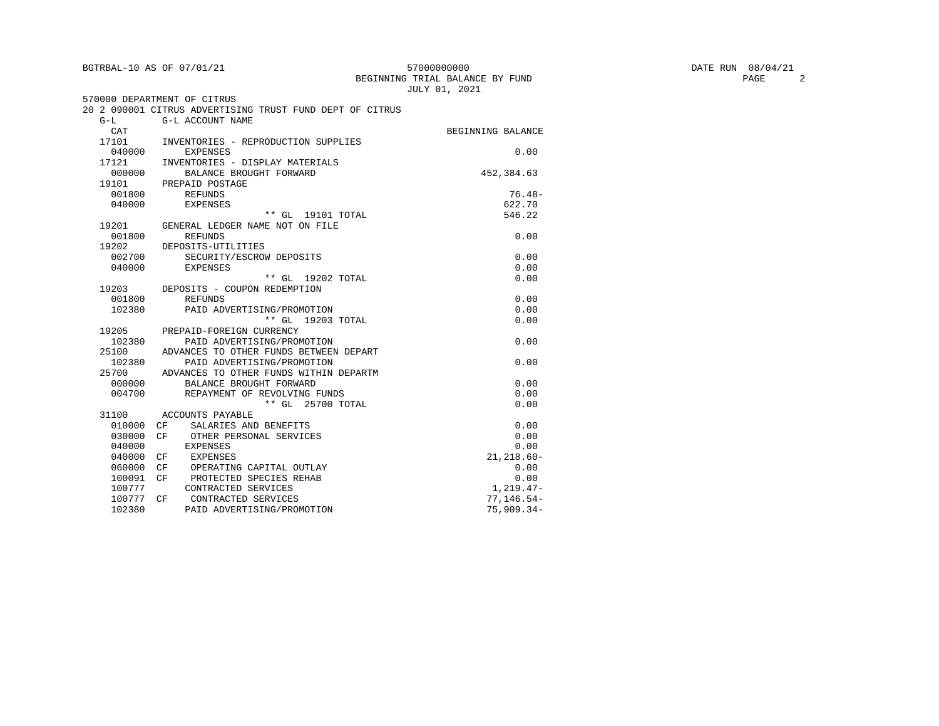|           | BGTRBAL-10 AS OF 07/01/21                                | 57000000000<br>BEGINNING TRIAL BALANCE BY FUND<br>JULY 01, 2021 | DATE RUN 08/04/21<br>PAGE<br>2 |
|-----------|----------------------------------------------------------|-----------------------------------------------------------------|--------------------------------|
|           | 570000 DEPARTMENT OF CITRUS                              |                                                                 |                                |
|           | 20 2 090001 CITRUS ADVERTISING TRUST FUND DEPT OF CITRUS |                                                                 |                                |
| $G-L$     | G-L ACCOUNT NAME                                         |                                                                 |                                |
| CAT       |                                                          | BEGINNING BALANCE                                               |                                |
| 17101     | INVENTORIES - REPRODUCTION SUPPLIES                      |                                                                 |                                |
| 040000    | EXPENSES                                                 | 0.00                                                            |                                |
| 17121     | INVENTORIES - DISPLAY MATERIALS                          |                                                                 |                                |
| 000000    | BALANCE BROUGHT FORWARD                                  | 452,384.63                                                      |                                |
| 19101     | PREPAID POSTAGE                                          |                                                                 |                                |
| 001800    | REFUNDS                                                  | $76.48-$                                                        |                                |
| 040000    | EXPENSES                                                 | 622.70                                                          |                                |
|           | ** GL 19101 TOTAL                                        | 546.22                                                          |                                |
| 19201     | GENERAL LEDGER NAME NOT ON FILE                          |                                                                 |                                |
| 001800    | REFUNDS                                                  | 0.00                                                            |                                |
| 19202     | DEPOSITS-UTILITIES                                       |                                                                 |                                |
| 002700    | SECURITY/ESCROW DEPOSITS                                 | 0.00                                                            |                                |
| 040000    | EXPENSES                                                 | 0.00                                                            |                                |
|           | ** GL 19202 TOTAL                                        | 0.00                                                            |                                |
|           | 19203 DEPOSITS - COUPON REDEMPTION                       |                                                                 |                                |
| 001800    | REFUNDS                                                  | 0.00                                                            |                                |
| 102380    | PAID ADVERTISING/PROMOTION                               | 0.00                                                            |                                |
|           | ** GL 19203 TOTAL                                        | 0.00                                                            |                                |
|           | 19205 PREPAID-FOREIGN CURRENCY                           |                                                                 |                                |
| 102380    | PAID ADVERTISING/PROMOTION                               | 0.00                                                            |                                |
| 25100     | ADVANCES TO OTHER FUNDS BETWEEN DEPART                   |                                                                 |                                |
| 102380    | PAID ADVERTISING/PROMOTION                               | 0.00                                                            |                                |
|           | 25700 ADVANCES TO OTHER FUNDS WITHIN DEPARTM             |                                                                 |                                |
| 000000    | BALANCE BROUGHT FORWARD                                  | 0.00                                                            |                                |
| 004700    | REPAYMENT OF REVOLVING FUNDS                             | 0.00                                                            |                                |
|           | ** GL 25700 TOTAL                                        | 0.00                                                            |                                |
| 31100     | ACCOUNTS PAYABLE                                         |                                                                 |                                |
| 010000 CF | SALARIES AND BENEFITS                                    | 0.00                                                            |                                |
| 030000 CF | OTHER PERSONAL SERVICES                                  | 0.00                                                            |                                |
| 040000    | EXPENSES                                                 | 0.00                                                            |                                |
| 040000 CF | <b>EXPENSES</b>                                          | $21, 218.60 -$                                                  |                                |
| 060000 CF | OPERATING CAPITAL OUTLAY                                 | 0.00                                                            |                                |
| 100091 CF | PROTECTED SPECIES REHAB                                  | 0.00                                                            |                                |
| 100777    | CONTRACTED SERVICES                                      | 1,219.47-                                                       |                                |
| 100777 CF | CONTRACTED SERVICES                                      | $77, 146.54 -$                                                  |                                |
| 102380    | PAID ADVERTISING/PROMOTION                               | $75,909.34-$                                                    |                                |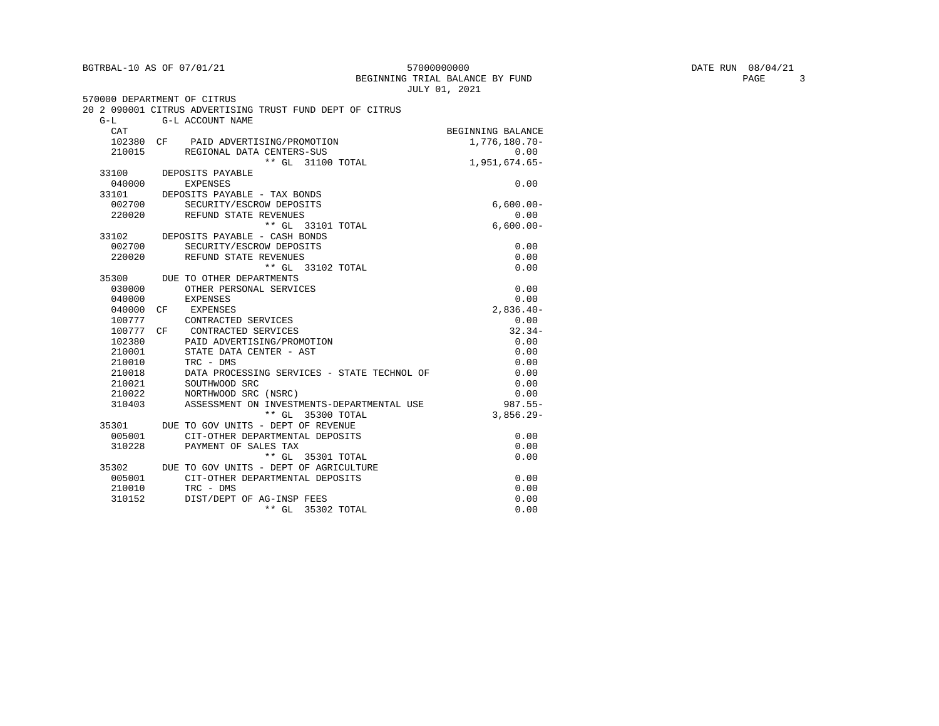#### $\begin{array}{l|l} \texttt{5700000000} & \texttt{DATE RUN} & \texttt{08/04/21} \\ \texttt{G TRIAL BALANCE BY FUND} & & & \texttt{PAGE} & \texttt{3} \end{array}$ BEGINNING TRIAL BALANCE BY FUND JULY 01, 2021

| 570000 DEPARTMENT OF CITRUS |                        |                                                          |                   |
|-----------------------------|------------------------|----------------------------------------------------------|-------------------|
|                             |                        | 20 2 090001 CITRUS ADVERTISING TRUST FUND DEPT OF CITRUS |                   |
| $G-L$                       | G-L ACCOUNT NAME       |                                                          |                   |
| CAT                         |                        |                                                          | BEGINNING BALANCE |
|                             |                        | 102380 CF PAID ADVERTISING/PROMOTION                     | 1,776,180.70-     |
|                             |                        | 210015 REGIONAL DATA CENTERS-SUS                         | 0.00              |
|                             |                        | ** GL 31100 TOTAL                                        | $1,951,674.65-$   |
|                             | 33100 DEPOSITS PAYABLE |                                                          |                   |
| 040000                      | <b>EXPENSES</b>        |                                                          | 0.00              |
| 33101                       |                        | DEPOSITS PAYABLE - TAX BONDS                             |                   |
| 002700                      |                        | SECURITY/ESCROW DEPOSITS                                 | $6,600.00-$       |
| 220020                      |                        | REFUND STATE REVENUES                                    | 0.00              |
|                             |                        | ** GL 33101 TOTAL                                        | $6,600.00-$       |
|                             |                        | 33102 DEPOSITS PAYABLE - CASH BONDS                      |                   |
| 002700                      |                        | SECURITY/ESCROW DEPOSITS                                 | 0.00              |
|                             |                        | 220020 REFUND STATE REVENUES                             | 0.00              |
|                             |                        | ** GL 33102 TOTAL                                        | 0.00              |
| 35300                       |                        | DUE TO OTHER DEPARTMENTS                                 |                   |
| 030000                      |                        | OTHER PERSONAL SERVICES                                  | 0.00              |
| 040000                      | <b>EXPENSES</b>        |                                                          | 0.00              |
| 040000                      | CF<br>EXPENSES         |                                                          | $2,836.40-$       |
| 100777                      |                        | CONTRACTED SERVICES                                      | 0.00              |
| 100777 CF                   |                        | CONTRACTED SERVICES                                      | $32.34-$          |
| 102380                      |                        | PAID ADVERTISING/PROMOTION                               | 0.00              |
| 210001                      |                        | STATE DATA CENTER - AST                                  | 0.00              |
| 210010                      | TRC - DMS              |                                                          | 0.00              |
| 210018                      |                        | DATA PROCESSING SERVICES - STATE TECHNOL OF              | 0.00              |
| 210021                      |                        | SOUTHWOOD SRC                                            | 0.00              |
| 210022                      |                        | NORTHWOOD SRC (NSRC)                                     | 0.00              |
| 310403                      |                        | ASSESSMENT ON INVESTMENTS-DEPARTMENTAL USE               | $987.55 -$        |
|                             |                        | ** GL 35300 TOTAL                                        | $3,856.29-$       |
| 35301                       |                        | DUE TO GOV UNITS - DEPT OF REVENUE                       |                   |
| 005001                      |                        | CIT-OTHER DEPARTMENTAL DEPOSITS                          | 0.00              |
| 310228                      |                        | PAYMENT OF SALES TAX                                     | 0.00              |
|                             |                        | ** GL 35301 TOTAL                                        | 0.00              |
| 35302                       |                        | DUE TO GOV UNITS - DEPT OF AGRICULTURE                   |                   |
| 005001                      |                        | CIT-OTHER DEPARTMENTAL DEPOSITS                          | 0.00              |
| 210010                      | TRC - DMS              |                                                          | 0.00              |
| 310152                      |                        | DIST/DEPT OF AG-INSP FEES                                | 0.00              |
|                             |                        | ** GL 35302 TOTAL                                        | 0.00              |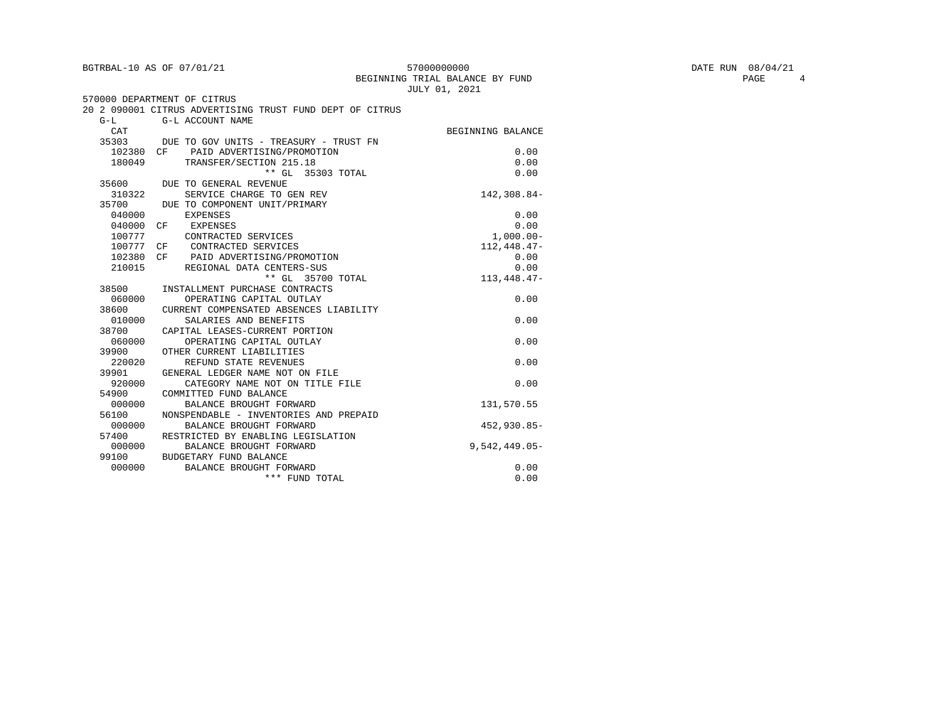| BGTRBAL-10 AS OF 07/01/21 |  |  |
|---------------------------|--|--|
|                           |  |  |

570000 DEPARTMENT OF CITRUS

#### ${\tt BGTRBAL-10 AS OF~07/01/21} \hspace{2.2cm} {\tt 570000000000} \hspace{2.2cm} {\tt BEGINNING~ITAL~ BALANCE~ BY~ FUND \hspace{2.2cm} {\tt PMD} \hspace{2.2cm} {\tt PAGE} \hspace{2.2cm} {\tt PAGE} \hspace{2.2cm} 4$ BEGINNING TRIAL BALANCE BY FUND JULY 01, 2021

|        | 20 2 090001 CITRUS ADVERTISING TRUST FUND DEPT OF CITRUS |                   |
|--------|----------------------------------------------------------|-------------------|
| $G-L$  | G-L ACCOUNT NAME                                         |                   |
| CAT    |                                                          | BEGINNING BALANCE |
|        | 35303 DUE TO GOV UNITS - TREASURY - TRUST FN             |                   |
|        | 102380 CF PAID ADVERTISING/PROMOTION                     | 0.00              |
| 180049 | TRANSFER/SECTION 215.18                                  | 0.00              |
|        | ** GL 35303 TOTAL                                        | 0.00              |
| 35600  | DUE TO GENERAL REVENUE                                   |                   |
| 310322 | SERVICE CHARGE TO GEN REV                                | 142,308.84-       |
| 35700  | DUE TO COMPONENT UNIT/PRIMARY                            |                   |
| 040000 | <b>EXPENSES</b>                                          | 0.00              |
| 040000 | EXPENSES<br>CF                                           | 0.00              |
| 100777 | CONTRACTED SERVICES                                      | $1,000.00-$       |
| 100777 | CONTRACTED SERVICES<br>CF                                | 112,448.47-       |
| 102380 | CF PAID ADVERTISING/PROMOTION                            | 0.00              |
| 210015 | REGIONAL DATA CENTERS-SUS                                | 0.00              |
|        | ** GL 35700 TOTAL                                        | $113,448.47-$     |
| 38500  | INSTALLMENT PURCHASE CONTRACTS                           |                   |
| 060000 | OPERATING CAPITAL OUTLAY                                 | 0.00              |
| 38600  | CURRENT COMPENSATED ABSENCES LIABILITY                   |                   |
| 010000 | SALARIES AND BENEFITS                                    | 0.00              |
| 38700  | CAPITAL LEASES-CURRENT PORTION                           |                   |
| 060000 | OPERATING CAPITAL OUTLAY                                 | 0.00              |
| 39900  | OTHER CURRENT LIABILITIES                                |                   |
| 220020 | REFUND STATE REVENUES                                    | 0.00              |
| 39901  | GENERAL LEDGER NAME NOT ON FILE                          |                   |
| 920000 | CATEGORY NAME NOT ON TITLE FILE                          | 0.00              |
| 54900  | COMMITTED FUND BALANCE                                   |                   |
| 000000 | BALANCE BROUGHT FORWARD                                  | 131,570.55        |
| 56100  | NONSPENDABLE - INVENTORIES AND PREPAID                   |                   |
| 000000 | BALANCE BROUGHT FORWARD                                  | $452.930.85 -$    |
| 57400  | RESTRICTED BY ENABLING LEGISLATION                       |                   |
| 000000 | BALANCE BROUGHT FORWARD                                  | $9,542,449.05-$   |
| 99100  | BUDGETARY FUND BALANCE                                   |                   |
| 000000 | BALANCE BROUGHT FORWARD                                  | 0.00              |
|        | *** FUND TOTAL                                           | 0.00              |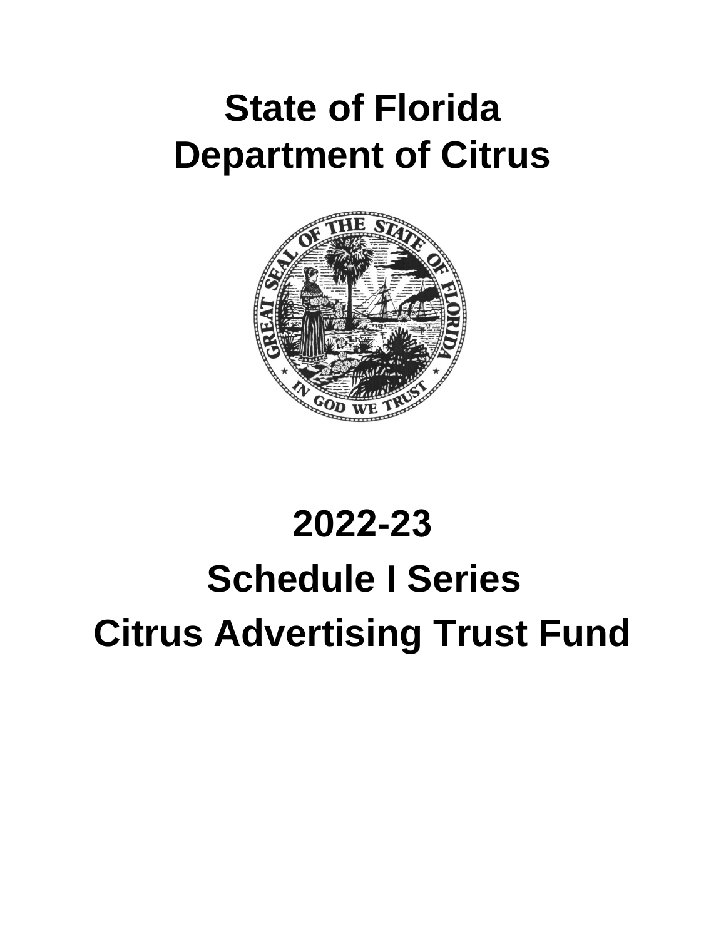## **State of Florida Department of Citrus**



# **2022-23 Schedule I Series Citrus Advertising Trust Fund**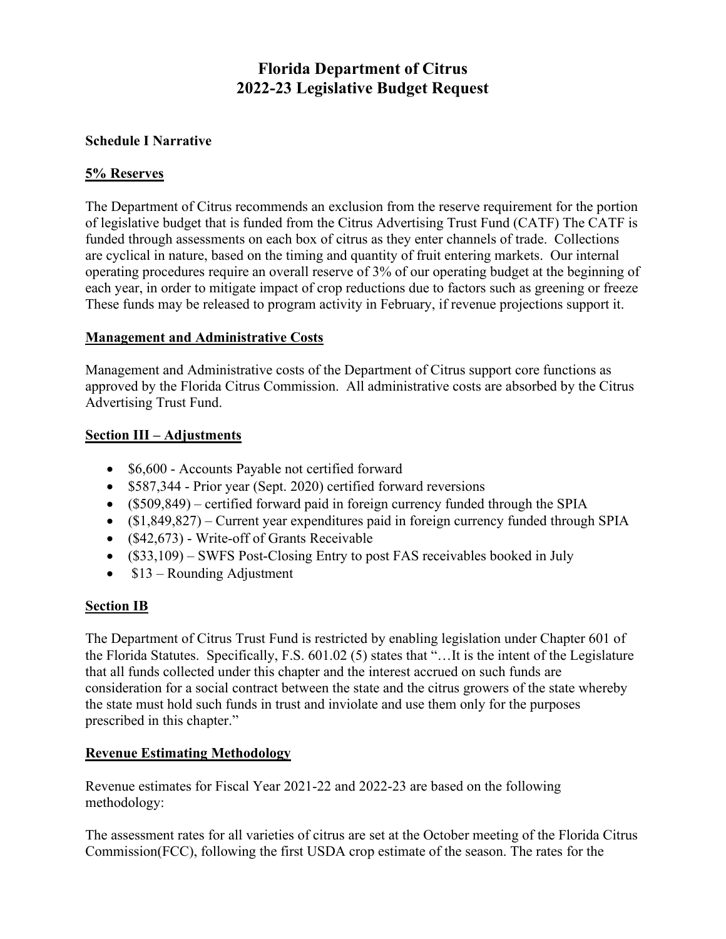#### **Florida Department of Citrus 2022-23 Legislative Budget Request**

#### **Schedule I Narrative**

#### **5% Reserves**

The Department of Citrus recommends an exclusion from the reserve requirement for the portion of legislative budget that is funded from the Citrus Advertising Trust Fund (CATF) The CATF is funded through assessments on each box of citrus as they enter channels of trade. Collections are cyclical in nature, based on the timing and quantity of fruit entering markets. Our internal operating procedures require an overall reserve of 3% of our operating budget at the beginning of each year, in order to mitigate impact of crop reductions due to factors such as greening or freeze These funds may be released to program activity in February, if revenue projections support it.

#### **Management and Administrative Costs**

Management and Administrative costs of the Department of Citrus support core functions as approved by the Florida Citrus Commission. All administrative costs are absorbed by the Citrus Advertising Trust Fund.

#### **Section III – Adjustments**

- \$6,600 Accounts Payable not certified forward
- \$587,344 Prior year (Sept. 2020) certified forward reversions
- (\$509,849) certified forward paid in foreign currency funded through the SPIA
- (\$1,849,827) Current year expenditures paid in foreign currency funded through SPIA
- (\$42,673) Write-off of Grants Receivable
- (\$33,109) SWFS Post-Closing Entry to post FAS receivables booked in July
- \$13 Rounding Adjustment

#### **Section IB**

The Department of Citrus Trust Fund is restricted by enabling legislation under Chapter 601 of the Florida Statutes. Specifically, F.S. 601.02 (5) states that "…It is the intent of the Legislature that all funds collected under this chapter and the interest accrued on such funds are consideration for a social contract between the state and the citrus growers of the state whereby the state must hold such funds in trust and inviolate and use them only for the purposes prescribed in this chapter."

#### **Revenue Estimating Methodology**

Revenue estimates for Fiscal Year 2021-22 and 2022-23 are based on the following methodology:

The assessment rates for all varieties of citrus are set at the October meeting of the Florida Citrus Commission(FCC), following the first USDA crop estimate of the season. The rates for the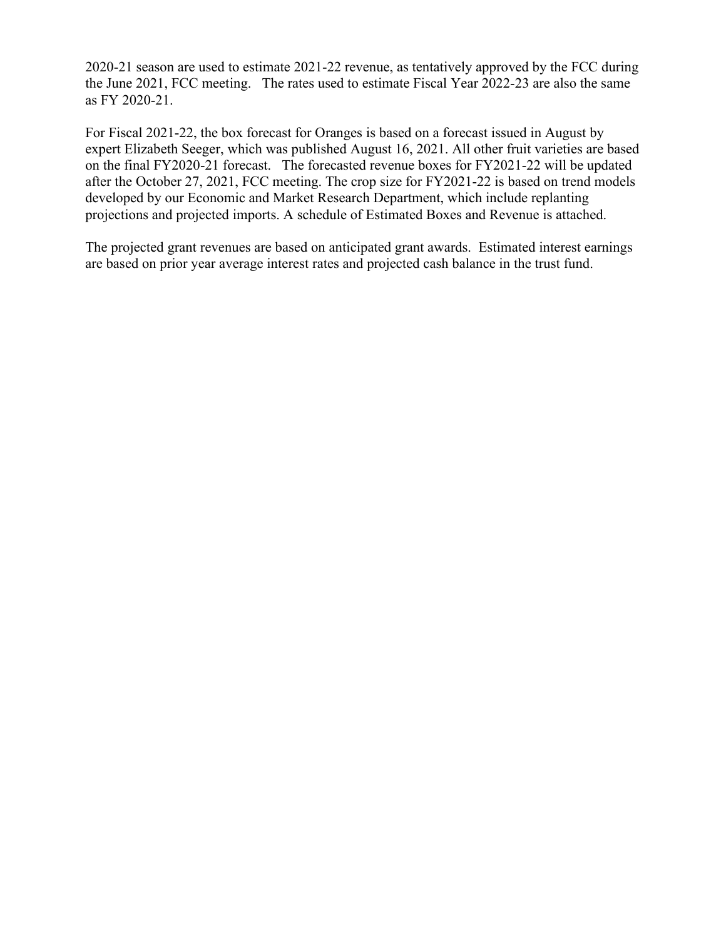2020-21 season are used to estimate 2021-22 revenue, as tentatively approved by the FCC during the June 2021, FCC meeting. The rates used to estimate Fiscal Year 2022-23 are also the same as FY 2020-21.

For Fiscal 2021-22, the box forecast for Oranges is based on a forecast issued in August by expert Elizabeth Seeger, which was published August 16, 2021. All other fruit varieties are based on the final FY2020-21 forecast. The forecasted revenue boxes for FY2021-22 will be updated after the October 27, 2021, FCC meeting. The crop size for FY2021-22 is based on trend models developed by our Economic and Market Research Department, which include replanting projections and projected imports. A schedule of Estimated Boxes and Revenue is attached.

The projected grant revenues are based on anticipated grant awards. Estimated interest earnings are based on prior year average interest rates and projected cash balance in the trust fund.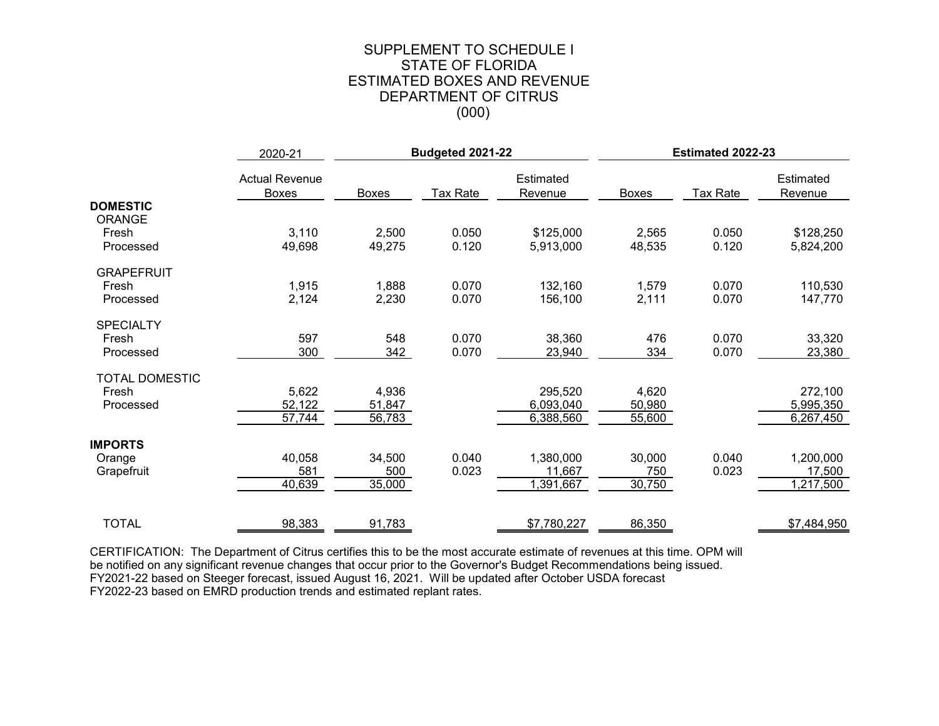#### (000) SUPPLEMENT TO SCHEDULE I STATE OF FLORIDA ESTIMATED BOXES AND REVENUE DEPARTMENT OF CITRUS

|                       | 2020-21                               |              | Budgeted 2021-22 |                      | Estimated 2022-23 |          |                      |
|-----------------------|---------------------------------------|--------------|------------------|----------------------|-------------------|----------|----------------------|
|                       | <b>Actual Revenue</b><br><b>Boxes</b> | <b>Boxes</b> | Tax Rate         | Estimated<br>Revenue | Boxes             | Tax Rate | Estimated<br>Revenue |
| <b>DOMESTIC</b>       |                                       |              |                  |                      |                   |          |                      |
| <b>ORANGE</b>         |                                       |              |                  |                      |                   |          |                      |
| Fresh                 | 3,110                                 | 2,500        | 0.050            | \$125,000            | 2,565             | 0.050    | \$128,250            |
| Processed             | 49,698                                | 49,275       | 0.120            | 5,913,000            | 48,535            | 0.120    | 5,824,200            |
| <b>GRAPEFRUIT</b>     |                                       |              |                  |                      |                   |          |                      |
| Fresh                 | 1,915                                 | 1,888        | 0.070            | 132,160              | 1,579             | 0.070    | 110,530              |
| Processed             | 2,124                                 | 2,230        | 0.070            | 156,100              | 2,111             | 0.070    | 147,770              |
| <b>SPECIALTY</b>      |                                       |              |                  |                      |                   |          |                      |
| Fresh                 | 597                                   | 548          | 0.070            | 38,360               | 476               | 0.070    | 33,320               |
| Processed             | 300                                   | 342          | 0.070            | 23,940               | 334               | 0.070    | 23,380               |
|                       |                                       |              |                  |                      |                   |          |                      |
| <b>TOTAL DOMESTIC</b> |                                       |              |                  |                      |                   |          |                      |
| Fresh                 | 5,622                                 | 4,936        |                  | 295,520              | 4,620             |          | 272,100              |
| Processed             | 52,122                                | 51,847       |                  | 6,093,040            | 50,980            |          | 5,995,350            |
|                       | 57,744                                | 56,783       |                  | 6,388,560            | 55,600            |          | 6,267,450            |
| <b>IMPORTS</b>        |                                       |              |                  |                      |                   |          |                      |
| Orange                | 40,058                                | 34,500       | 0.040            | 1,380,000            | 30,000            | 0.040    | 1,200,000            |
| Grapefruit            | 581                                   | 500          | 0.023            | 11,667               | 750               | 0.023    | 17,500               |
|                       | 40,639                                | 35,000       |                  | 1,391,667            | 30,750            |          | 1,217,500            |
|                       |                                       |              |                  |                      |                   |          |                      |
| <b>TOTAL</b>          | 98,383                                | 91,783       |                  | \$7,780,227          | 86,350            |          | \$7,484,950          |

CERTIFICATION: The Department of Citrus certifies this to be the most accurate estimate of revenues at this time. OPM will be notified on any significant revenue changes that occur prior to the Governor's Budget Recommendations being issued. FY2021-22 based on Steeger forecast, issued August 16, 2021. Will be updated after October USDA forecast FY2022-23 based on EMRD production trends and estimated replant rates.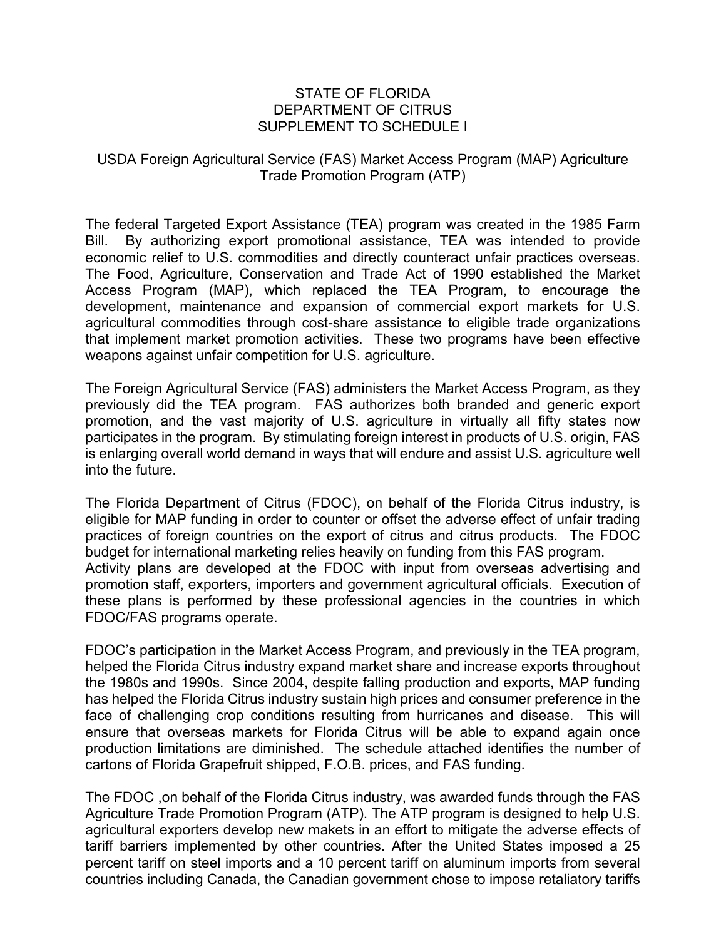#### STATE OF FLORIDA DEPARTMENT OF CITRUS SUPPLEMENT TO SCHEDULE I

#### USDA Foreign Agricultural Service (FAS) Market Access Program (MAP) Agriculture Trade Promotion Program (ATP)

The federal Targeted Export Assistance (TEA) program was created in the 1985 Farm Bill. By authorizing export promotional assistance, TEA was intended to provide economic relief to U.S. commodities and directly counteract unfair practices overseas. The Food, Agriculture, Conservation and Trade Act of 1990 established the Market Access Program (MAP), which replaced the TEA Program, to encourage the development, maintenance and expansion of commercial export markets for U.S. agricultural commodities through cost-share assistance to eligible trade organizations that implement market promotion activities. These two programs have been effective weapons against unfair competition for U.S. agriculture.

The Foreign Agricultural Service (FAS) administers the Market Access Program, as they previously did the TEA program. FAS authorizes both branded and generic export promotion, and the vast majority of U.S. agriculture in virtually all fifty states now participates in the program. By stimulating foreign interest in products of U.S. origin, FAS is enlarging overall world demand in ways that will endure and assist U.S. agriculture well into the future.

The Florida Department of Citrus (FDOC), on behalf of the Florida Citrus industry, is eligible for MAP funding in order to counter or offset the adverse effect of unfair trading practices of foreign countries on the export of citrus and citrus products. The FDOC budget for international marketing relies heavily on funding from this FAS program. Activity plans are developed at the FDOC with input from overseas advertising and promotion staff, exporters, importers and government agricultural officials. Execution of these plans is performed by these professional agencies in the countries in which FDOC/FAS programs operate.

FDOC's participation in the Market Access Program, and previously in the TEA program, helped the Florida Citrus industry expand market share and increase exports throughout the 1980s and 1990s. Since 2004, despite falling production and exports, MAP funding has helped the Florida Citrus industry sustain high prices and consumer preference in the face of challenging crop conditions resulting from hurricanes and disease. This will ensure that overseas markets for Florida Citrus will be able to expand again once production limitations are diminished. The schedule attached identifies the number of cartons of Florida Grapefruit shipped, F.O.B. prices, and FAS funding.

The FDOC ,on behalf of the Florida Citrus industry, was awarded funds through the FAS Agriculture Trade Promotion Program (ATP). The ATP program is designed to help U.S. agricultural exporters develop new makets in an effort to mitigate the adverse effects of tariff barriers implemented by other countries. After the United States imposed a 25 percent tariff on steel imports and a 10 percent tariff on aluminum imports from several countries including Canada, the Canadian government chose to impose retaliatory tariffs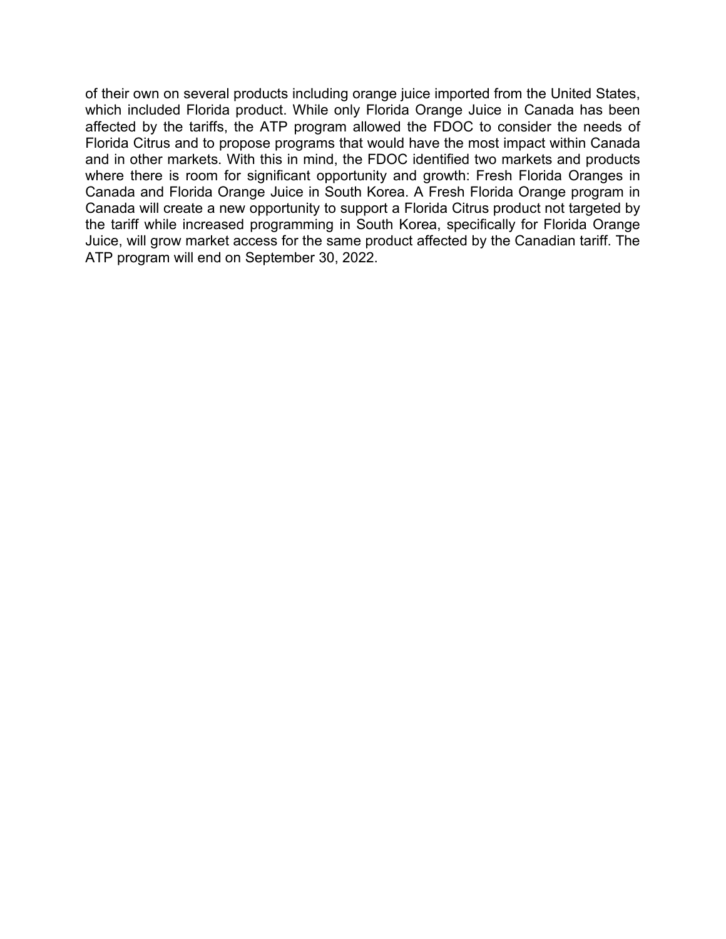of their own on several products including orange juice imported from the United States, which included Florida product. While only Florida Orange Juice in Canada has been affected by the tariffs, the ATP program allowed the FDOC to consider the needs of Florida Citrus and to propose programs that would have the most impact within Canada and in other markets. With this in mind, the FDOC identified two markets and products where there is room for significant opportunity and growth: Fresh Florida Oranges in Canada and Florida Orange Juice in South Korea. A Fresh Florida Orange program in Canada will create a new opportunity to support a Florida Citrus product not targeted by the tariff while increased programming in South Korea, specifically for Florida Orange Juice, will grow market access for the same product affected by the Canadian tariff. The ATP program will end on September 30, 2022.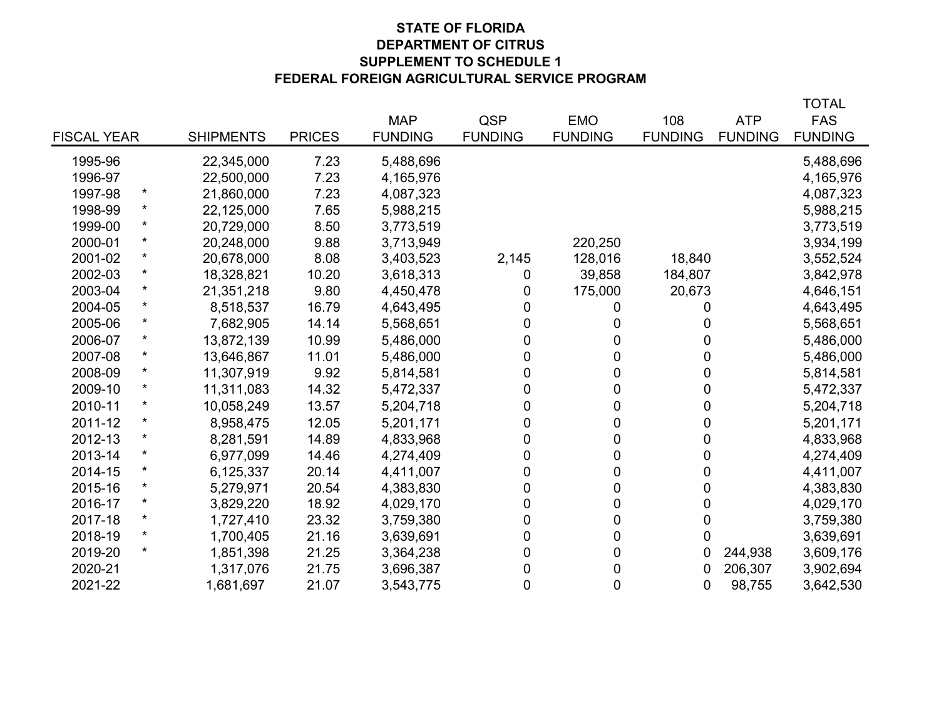#### **STATE OF FLORIDA DEPARTMENT OF CITRUS SUPPLEMENT TO SCHEDULE 1 FEDERAL FOREIGN AGRICULTURAL SERVICE PROGRAM**

|                    |          |                  |               |                |                |                |                  |                | <b>TOTAL</b>   |
|--------------------|----------|------------------|---------------|----------------|----------------|----------------|------------------|----------------|----------------|
|                    |          |                  |               | <b>MAP</b>     | QSP            | <b>EMO</b>     | 108              | <b>ATP</b>     | <b>FAS</b>     |
| <b>FISCAL YEAR</b> |          | <b>SHIPMENTS</b> | <b>PRICES</b> | <b>FUNDING</b> | <b>FUNDING</b> | <b>FUNDING</b> | <b>FUNDING</b>   | <b>FUNDING</b> | <b>FUNDING</b> |
| 1995-96            |          | 22,345,000       | 7.23          | 5,488,696      |                |                |                  |                | 5,488,696      |
| 1996-97            |          | 22,500,000       | 7.23          | 4,165,976      |                |                |                  |                | 4,165,976      |
| 1997-98            | $\ast$   | 21,860,000       | 7.23          | 4,087,323      |                |                |                  |                | 4,087,323      |
| 1998-99            | $\star$  | 22,125,000       | 7.65          | 5,988,215      |                |                |                  |                | 5,988,215      |
| 1999-00            | $\ast$   | 20,729,000       | 8.50          | 3,773,519      |                |                |                  |                | 3,773,519      |
| 2000-01            | $\star$  | 20,248,000       | 9.88          | 3,713,949      |                | 220,250        |                  |                | 3,934,199      |
| 2001-02            | $\star$  | 20,678,000       | 8.08          | 3,403,523      | 2,145          | 128,016        | 18,840           |                | 3,552,524      |
| 2002-03            | $\ast$   | 18,328,821       | 10.20         | 3,618,313      | 0              | 39,858         | 184,807          |                | 3,842,978      |
| 2003-04            | $\star$  | 21,351,218       | 9.80          | 4,450,478      | 0              | 175,000        | 20,673           |                | 4,646,151      |
| 2004-05            | $\ast$   | 8,518,537        | 16.79         | 4,643,495      | $\overline{0}$ | 0              | 0                |                | 4,643,495      |
| 2005-06            | $\star$  | 7,682,905        | 14.14         | 5,568,651      | $\overline{0}$ | 0              | 0                |                | 5,568,651      |
| 2006-07            | $\star$  | 13,872,139       | 10.99         | 5,486,000      | $\mathbf 0$    | 0              | 0                |                | 5,486,000      |
| 2007-08            | $\star$  | 13,646,867       | 11.01         | 5,486,000      | $\mathbf 0$    | $\overline{0}$ | 0                |                | 5,486,000      |
| 2008-09            | $\star$  | 11,307,919       | 9.92          | 5,814,581      | $\mathbf 0$    | 0              | 0                |                | 5,814,581      |
| 2009-10            | $\star$  | 11,311,083       | 14.32         | 5,472,337      | $\mathbf 0$    | 0              | 0                |                | 5,472,337      |
| 2010-11            | $\ast$   | 10,058,249       | 13.57         | 5,204,718      | $\mathbf 0$    | 0              | 0                |                | 5,204,718      |
| 2011-12            | $\ast$   | 8,958,475        | 12.05         | 5,201,171      | $\mathbf 0$    | $\overline{0}$ | 0                |                | 5,201,171      |
| 2012-13            | $^\star$ | 8,281,591        | 14.89         | 4,833,968      | $\mathbf 0$    | 0              | 0                |                | 4,833,968      |
| 2013-14            | $\star$  | 6,977,099        | 14.46         | 4,274,409      | 0              | 0              | 0                |                | 4,274,409      |
| 2014-15            | $\ast$   | 6,125,337        | 20.14         | 4,411,007      | 0              | 0              | 0                |                | 4,411,007      |
| 2015-16            |          | 5,279,971        | 20.54         | 4,383,830      | 0              | 0              | 0                |                | 4,383,830      |
| 2016-17            | $\ast$   | 3,829,220        | 18.92         | 4,029,170      | $\mathbf 0$    | $\mathbf 0$    | $\boldsymbol{0}$ |                | 4,029,170      |
| 2017-18            | $\ast$   | 1,727,410        | 23.32         | 3,759,380      | $\overline{0}$ | $\mathbf 0$    | 0                |                | 3,759,380      |
| 2018-19            | $\star$  | 1,700,405        | 21.16         | 3,639,691      | 0              | 0              | 0                |                | 3,639,691      |
| 2019-20            | $^\star$ | 1,851,398        | 21.25         | 3,364,238      | 0              | 0              | 0                | 244,938        | 3,609,176      |
| 2020-21            |          | 1,317,076        | 21.75         | 3,696,387      | 0              | $\mathbf 0$    | 0                | 206,307        | 3,902,694      |
| 2021-22            |          | 1,681,697        | 21.07         | 3,543,775      | $\overline{0}$ | 0              | 0                | 98,755         | 3,642,530      |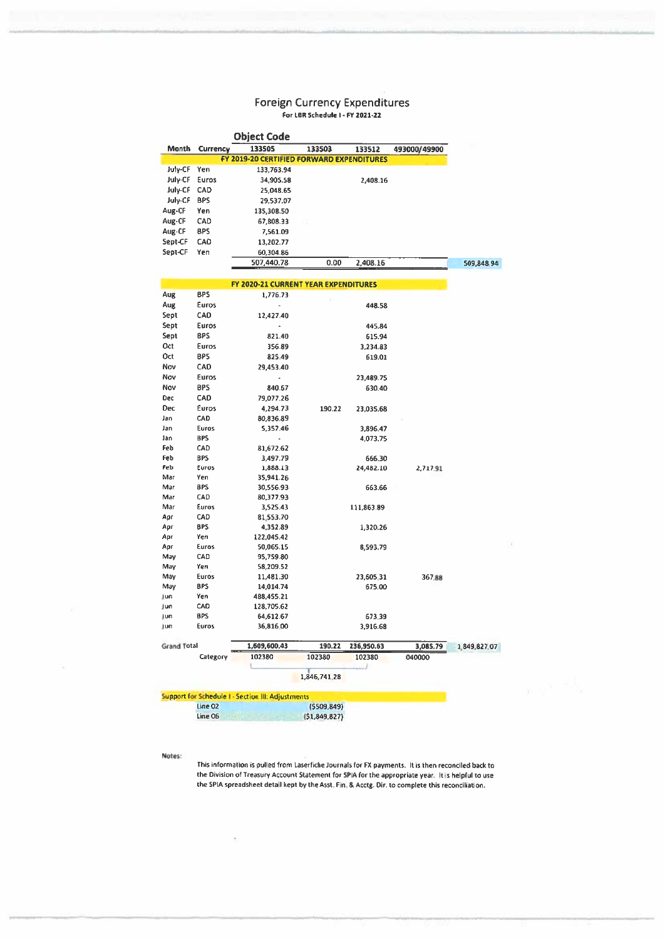## Foreign Currency Expenditures

**White community** 

|                    |                    | Object Code                                              |              |            |              |              |
|--------------------|--------------------|----------------------------------------------------------|--------------|------------|--------------|--------------|
| Month              | <b>Currency</b>    | 133505                                                   | 133503       | 133512     | 493000/49900 |              |
|                    |                    | FY 2019-20 CERTIFIED FORWARD EXPENDITURES                |              |            |              |              |
| July-CF            | Yen                | 133,763.94                                               |              |            |              |              |
| July-CF            | Euros              | 34,905.58                                                |              | 2,408.16   |              |              |
| July-CF            | CAD                | 25,048.65                                                |              |            |              |              |
| July-CF            | 8PS                | 29,537.07                                                |              |            |              |              |
| Aug-CF             | Yen                | 135,308.50                                               |              |            |              |              |
| Aug-CF             | CAD                | 67,808.33                                                |              |            |              |              |
| Aug-CF             | BPS                | 7,561.09                                                 |              |            |              |              |
| Sept-CF            | CAD                |                                                          |              |            |              |              |
|                    |                    | 13,202.77                                                |              |            |              |              |
| Sept-CF            | Yen                | 60,304.86                                                |              |            |              |              |
|                    |                    | 507,440.78                                               | 0.00         | 2,408.16   |              | 509,848.94   |
|                    |                    |                                                          |              |            |              |              |
|                    |                    | <b>FY 2020-21 CURRENT YEAR EXPENDITURES</b>              |              |            |              |              |
| Aug                | BPS                | 1,776.73                                                 |              |            |              |              |
| Aug                | Euros              | ÷,                                                       |              | 448.58     |              |              |
| Sept               | CAD                | 12,427.40                                                |              |            |              |              |
| Sept               | Euros              |                                                          |              | 445.84     |              |              |
| Sept               | BPS                | 821.40                                                   |              | 615.94     |              |              |
| Oct                | Euros              | 356.89                                                   |              | 3,234.83   |              |              |
| Oct                | <b>BPS</b>         | 825.49                                                   |              | 619.01     |              |              |
| Nov                | CAD                | 29,453.40                                                |              |            |              |              |
| Nov                | Euros              |                                                          |              | 23,489.75  |              |              |
| Nov                | BPS                | 840.67                                                   |              | 630.40     |              |              |
| <b>Dec</b>         | CAD                | 79,077.26                                                |              |            |              |              |
| Dec                | Euros              | 4,294.73                                                 | 190.22       | 23,035.68  |              |              |
| Jan                | CAD                | 80,836.89                                                |              |            |              |              |
| Jan                | Euros              | 5,357.46                                                 |              | 3,896.47   |              |              |
| Jan                | BPS                |                                                          |              | 4,073.75   |              |              |
| Feb                | CAD                | 81,672.62                                                |              |            |              |              |
| Feb                | BPS                | 3,497.79                                                 |              | 666.30     |              |              |
| Feb                | Euros              | 1,888.13                                                 |              | 24,482.10  | 2,717.91     |              |
| Mar                | Yen                | 35,941.26                                                |              |            |              |              |
| Mar                | 8PS                | 30,556.93                                                |              | 663.66     |              |              |
| Mar                | CAD                | 80,377.93                                                |              |            |              |              |
| Mar                | Euros              | 3,525.43                                                 |              | 111,863.89 |              |              |
| Apr                | CAD                | 81,553.70                                                |              |            |              |              |
| Apr                | <b>BPS</b>         | 4,352.89                                                 |              |            |              |              |
| Apr                | Yen                | 122,045.42                                               |              | 1,320.26   |              |              |
| Apr                | Euros              | 50,065.15                                                |              | 8,593.79   |              |              |
| May                | CAD                | 95,759.80                                                |              |            |              |              |
| May                | Yen                | 58,209.52                                                |              |            |              |              |
| May                | Euros              |                                                          |              |            | 367.88       |              |
|                    | <b>BPS</b>         | 11,481.30                                                |              | 23,605.31  |              |              |
| May<br>Jun         | Yen                | 14,014.74<br>488,455.21                                  |              | 675.00     |              |              |
| Jun                | CAD                | 128.705.62                                               |              |            |              |              |
|                    | <b>BPS</b>         |                                                          |              | 673.39     |              |              |
| Jun                |                    | 64,612.67                                                |              |            |              |              |
| Jun                | Euros              | 36,816.00                                                |              | 3,916.68   |              |              |
| <b>Grand Total</b> |                    | 1,609,600.43                                             | 190.22       | 236,950.63 | 3,085.79     | 1,849,827.07 |
|                    | Category           | 102380                                                   | 102380       | 102380     | 040000       |              |
|                    |                    |                                                          |              |            |              |              |
|                    |                    |                                                          | 1,846,741.28 |            |              |              |
|                    |                    |                                                          |              |            |              |              |
|                    |                    | <b>Support for Schedule I - Section III: Adjustments</b> |              |            |              |              |
|                    | Line 02<br>Line 06 |                                                          | (5509, 849)  |            |              |              |
|                    |                    |                                                          | (51,849,827) |            |              |              |

Š.

#### Notes:

 $\overline{\mathcal{D}}$ 

This information is pulled from Laserfiche Journals for FX payments. It is then reconciled back to the Division of Treasury Account Statement for SPIA for the appropriate year. It is helpful to use the SPIA spreadsheet detail kept by the Asst. Fin. & Acctg. Dir. to complete this reconciliation.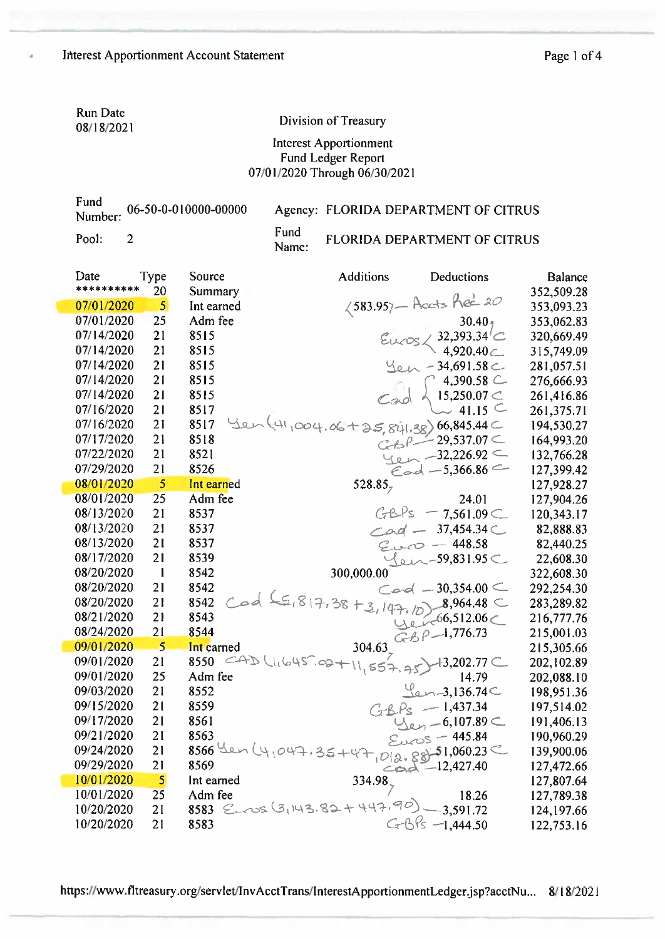Run Date 08/18/2021

ĭ

#### Division of Treasury

#### Interest Apportionment Fund Ledger Report 07/01/2020 Through 06/30/2021

|         | Fund<br>Number: 06-50-0-010000-00000 |               | Agency: FLORIDA DEPARTMENT OF CITRUS |
|---------|--------------------------------------|---------------|--------------------------------------|
| Pool: 2 |                                      | Fund<br>Name: | FLORIDA DEPARTMENT OF CITRUS         |

| Date<br>********** | Type<br>20     | Source<br>Summary | <b>Additions</b>                 | Deductions                           | <b>Balance</b><br>352,509.28 |
|--------------------|----------------|-------------------|----------------------------------|--------------------------------------|------------------------------|
| 07/01/2020         | 5 <sup>5</sup> | Int earned        |                                  | $\zeta$ 583.957 - Accts hec 20       | 353,093.23                   |
| 07/01/2020         | 25             | Adm fee           |                                  | $30.40 +$                            | 353,062.83                   |
| 07/14/2020         | 21             | 8515              |                                  | 32,393.34 $^{\prime}$ C              | 320,669.49                   |
| 07/14/2020         | 21             | 8515              |                                  | 4,920.40                             | 315,749.09                   |
| 07/14/2020         | 21             | 8515              |                                  | $-34,691.58$                         | 281,057.51                   |
| 07/14/2020         | 21             | 8515              |                                  | 4,390.58 C                           | 276,666.93                   |
| 07/14/2020         | 21             | 8515              |                                  | 15,250.07 $\subset$                  | 261,416.86                   |
| 07/16/2020         | 21             | 8517              |                                  | 41.15 $\subset$                      | 261,375.71                   |
| 07/16/2020         | 21             | 8517              | $41,004,06+35,841,38)$ 66,845.44 |                                      | 194,530.27                   |
| 07/17/2020         | 21             | 8518              |                                  | $-29,537.07$ $\subset$               | 164,993.20                   |
| 07/22/2020         | 21             | 8521              |                                  | $-32,226.92$ $\subset$               | 132,766.28                   |
| 07/29/2020         | 21             | 8526              |                                  | $\epsilon$ ad - 5,366.86             | 127,399.42                   |
| 08/01/2020         | 5              | Int earned        | 528.85 $_{7}$                    |                                      | 127,928.27                   |
| 08/01/2020         | 25             | Adm fee           |                                  | 24.01                                | 127,904.26                   |
| 08/13/2020         | 21             | 8537              | GBPs                             | $-7,561.09$                          | 120,343.17                   |
| 08/13/2020         | 21             | 8537              |                                  | $Cod - 37,454.34C$                   | 82,888.83                    |
| 08/13/2020         | 21             | 8537              |                                  | $Cov - 448.58$                       | 82,440.25                    |
| 08/17/2020         | 21             | 8539              |                                  | $\{\rho\}$ -59,831.95 $\subset$      | 22,608.30                    |
| 08/20/2020         | $\mathbf{1}$   | 8542              | 300,000.00                       |                                      | 322,608.30                   |
| 08/20/2020         | 21             | 8542              |                                  | $Cool = 30,354.00$                   | 292,254.30                   |
| 08/20/2020         | 21             | 8542              | $65,817,38+3,147,10$             | $.8,964.48 \subset$                  | 283,289.82                   |
| 08/21/2020         | 21             | 8543              |                                  | $427-66,512.06$                      | 216,777.76                   |
| 08/24/2020         | 21             | 8544              |                                  | GBP-1,776.73                         | 215,001.03                   |
| 09/01/2020         | 5              | Int earned        | 304.63                           |                                      | 215,305.66                   |
| 09/01/2020         | 21             | CAD<br>8550       | $1645.02+11,557.75$              | $+3,202.77$ C                        | 202,102.89                   |
| 09/01/2020         | 25             | Adm fee           |                                  | 14.79                                | 202,088.10                   |
| 09/03/2020         | 21             | 8552              |                                  | $\ell$ -3,136.74 $\subset$           | 198,951.36                   |
| 09/15/2020         | 21             | 8559              |                                  | $GBPs - 1,437.34$                    | 197,514.02                   |
| 09/17/2020         | 21             | 8561              |                                  | $\frac{1}{2}$ en -6,107.89 $\subset$ | 191,406.13                   |
| 09/21/2020         | 21             | 8563              |                                  | $Eucos - 445.84$                     | 190,960.29                   |
| 09/24/2020         | 21             | $8566$ Len        | $35+47$ , $0(2.88)$ -51,060.23   |                                      | 139,900.06                   |
| 09/29/2020         | 21             | 8569              |                                  | $C_{D2} = 12,427.40$                 | 127,472.66                   |
| 10/01/2020         | $\overline{5}$ | Int earned        | $334.98$ <sub>7</sub>            |                                      | 127,807.64                   |
| 10/01/2020         | 25<br>21       | Adm fee           | 8583 Euros (3,143.82+447.90)     | 18.26<br>$-3,591.72$                 | 127,789.38                   |
| 10/20/2020         |                |                   |                                  |                                      | 124,197.66                   |
| 10/20/2020         | 21             | 8583              |                                  | $G-B$ Ps $-1,444.50$                 | 122,753.16                   |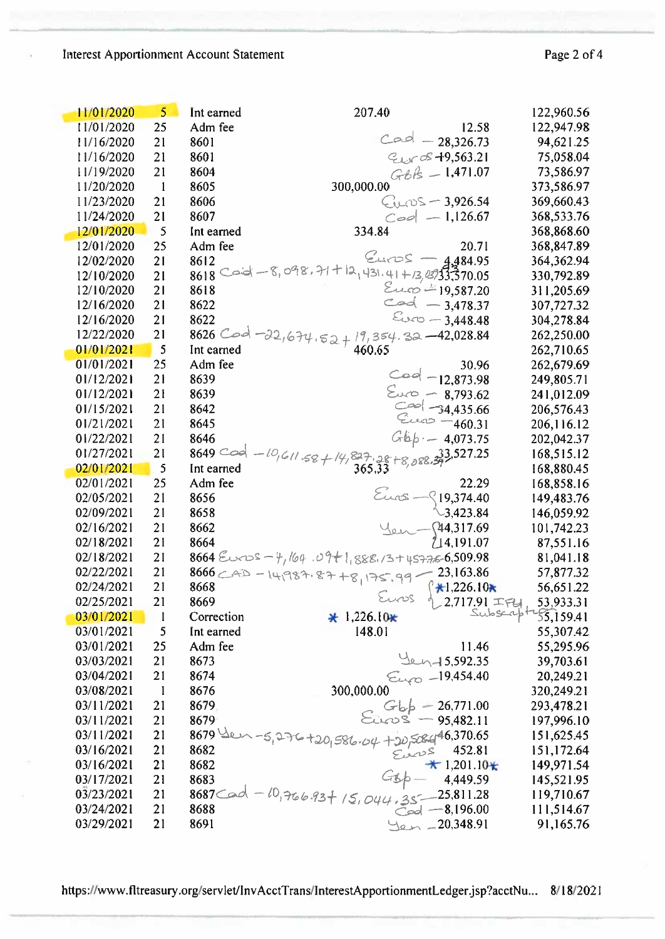#### Interest Apportionment Account Statement

| 11/01/2020 | 5 <sup>1</sup> | Int earned  | 207.40                                                                       | 122,960.56 |
|------------|----------------|-------------|------------------------------------------------------------------------------|------------|
| 11/01/2020 | 25             | Adm fee     | 12.58                                                                        | 122,947.98 |
| 11/16/2020 | 21             | 8601        | $Cool - 28,326.73$                                                           | 94,621.25  |
| 11/16/2020 | 21             | 8601        | $C_{L,S}$ os $-19,563.21$                                                    | 75,058.04  |
| 11/19/2020 | 21             | 8604        | $GBB = 1,471.07$                                                             | 73,586.97  |
| 11/20/2020 | $\mathbf{1}$   | 8605        | 300,000.00                                                                   | 373,586.97 |
| 11/23/2020 | 21             | 8606        | 3,926.54                                                                     | 369,660.43 |
| 11/24/2020 | 21             | 8607        | $\textcolor{blue}{\subset}$ 00 — 1,126.67                                    | 368,533.76 |
| 12/01/2020 | 5              | Int earned  | 334.84                                                                       | 368,868.60 |
| 12/01/2020 | 25             | Adm fee     | 20.71                                                                        | 368,847.89 |
| 12/02/2020 | 21             | 8612        | $Cuvos -$<br>4,484.95                                                        | 364,362.94 |
| 12/10/2020 | 21             | $8618$ Caid | $-8,098,71+12,431.41+13,43333370.05$                                         | 330,792.89 |
| 12/10/2020 | 21             | 8618        | $\epsilon$ up <sup>1</sup> =19,587.20                                        | 311,205.69 |
| 12/16/2020 | 21             | 8622        | $\sim 4 - 3,478.37$                                                          | 307,727.32 |
| 12/16/2020 | 21             | 8622        | $\mathcal{E}_{\text{OCO}} - 3,448.48$                                        | 304,278.84 |
| 12/22/2020 | 21             | $8626$ Cod  | $19,354.32 - 42,028.84$<br>$22,674.52 +$                                     | 262,250.00 |
| 01/01/2021 | 5              | Int earned  | 460.65                                                                       | 262,710.65 |
| 01/01/2021 | 25             | Adm fee     | 30.96                                                                        | 262,679.69 |
| 01/12/2021 | 21             | 8639        | $Coq - 12,873.98$                                                            | 249,805.71 |
| 01/12/2021 | 21             | 8639        | $\epsilon_{00}$ - 8,793.62                                                   | 241,012.09 |
| 01/15/2021 | 21             | 8642        | $\cos \frac{1}{2}$ -34,435.66                                                | 206,576.43 |
| 01/21/2021 | 21             | 8645        | $22 - 460.31$                                                                | 206,116.12 |
| 01/22/2021 | 21             | 8646        | Gbp· - 4,073.75                                                              | 202,042.37 |
| 01/27/2021 | 21             | $8649$ Coo  | 33,527.25                                                                    | 168,515.12 |
| 02/01/2021 | 5              | Int earned  | $\frac{611.58+14.827.28+8.088.}{365.33}$                                     | 168,880.45 |
| 02/01/2021 | 25             | Adm fee     | 22.29                                                                        | 168,858.16 |
| 02/05/2021 | 21             | 8656        | $\S$ 19,374.40                                                               | 149,483.76 |
| 02/09/2021 | 21             | 8658        | $\setminus$ 3,423.84                                                         | 146,059.92 |
| 02/16/2021 | 21             | 8662        | 44,317.69                                                                    | 101,742.23 |
| 02/18/2021 | 21             | 8664        | 14,191.07                                                                    | 87,551.16  |
| 02/18/2021 | 21             |             | $8664$ Euros - 4,164.09+1,888.13+45776-6,509.98                              | 81,041.18  |
| 02/22/2021 | 21             |             | $8666$<br>$23,163.86$<br>$99$<br>$23,163.86$<br>$96$<br>$99$<br>$123,163.86$ | 57,877.32  |
| 02/24/2021 | 21             | 8668        | $\binom{4}{1}$ ,226.10*                                                      | 56,651.22  |
| 02/25/2021 | 21             | 8669        | Euros<br>$2,717.91$ $\mp$ $\mp$                                              | 53,933.31  |
| 03/01/2021 | $\mathbf{l}$   | Correction  | $\star$ 1,226.10 $\star$                                                     | $31 - 76$  |
| 03/01/2021 | 5              | Int earned  | 148.01                                                                       | 55,307.42  |
| 03/01/2021 | 25             | Adm fee     | 11.46                                                                        | 55,295.96  |
| 03/03/2021 | 21             | 8673        | $40 - 15,592.35$                                                             | 39,703.61  |
| 03/04/2021 | 21             | 8674        | $\epsilon_{\text{20}}$ -19,454.40                                            | 20,249.21  |
| 03/08/2021 | $\mathbf{1}$   | 8676        | 300,000.00                                                                   | 320,249.21 |
| 03/11/2021 | 21             | 8679.       | $G_{\varphi} - 26,771.00$                                                    | 293,478.21 |
| 03/11/2021 | 21             | 8679        | $\epsilon$ tos — 95,482.11                                                   | 197,996.10 |
| 03/11/2021 | 21             | $8679$ $20$ |                                                                              | 151,625.45 |
| 03/16/2021 | 21             | 8682        | $+20,586.04 + 30,506.496,370.65$<br>452.81                                   | 151,172.64 |
| 03/16/2021 | 21             | 8682        | $*1,201.10*$                                                                 | 149,971.54 |
| 03/17/2021 | 21             | 8683        | 4,449.59                                                                     | 145,521.95 |
| 03/23/2021 | 21             | 8687 Cod    | $10,76693 + 15,044.35 - 25,811.28$                                           | 119,710.67 |
| 03/24/2021 | 21             | 8688        | $\sim 8,196.00$                                                              | 111,514.67 |
| 03/29/2021 | 21             | 8691        | 20,348.91                                                                    | 91,165.76  |

https://www.fltreasury.org/servlet/InvAcctTrans/InterestApportionmentLedger.jsp?acctNu... 8/18/2021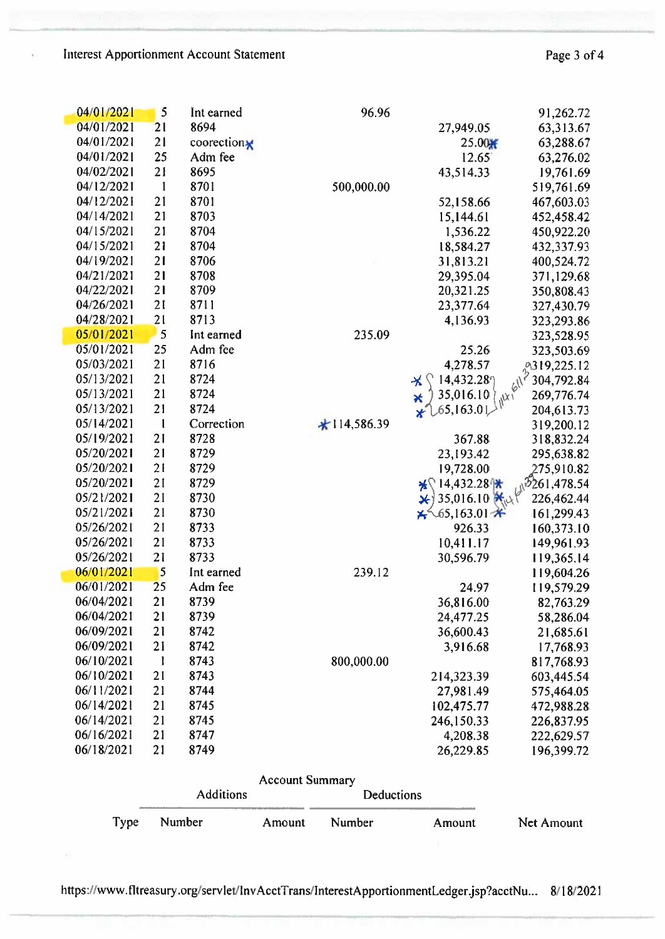Ï

÷

| 04/01/2021 | 5                       | Int earned  | 96.96         |                                                 | 91,262.72                                                                     |
|------------|-------------------------|-------------|---------------|-------------------------------------------------|-------------------------------------------------------------------------------|
| 04/01/2021 | 21                      | 8694        |               | 27,949.05                                       | 63,313.67                                                                     |
| 04/01/2021 | 21                      | coorection* |               | $25.00 +$                                       | 63,288.67                                                                     |
| 04/01/2021 | 25                      | Adm fee     |               | 12.65                                           | 63,276.02                                                                     |
| 04/02/2021 | 21                      | 8695        |               | 43,514.33                                       | 19,761.69                                                                     |
| 04/12/2021 | $\mathbf{1}$            | 8701        | 500,000.00    |                                                 | 519,761.69                                                                    |
| 04/12/2021 | 21                      | 8701        |               | 52,158.66                                       | 467,603.03                                                                    |
| 04/14/2021 | 21                      | 8703        |               | 15,144.61                                       | 452,458.42                                                                    |
| 04/15/2021 | 21                      | 8704        |               | 1,536.22                                        | 450,922.20                                                                    |
| 04/15/2021 | 21                      | 8704        |               | 18,584.27                                       | 432,337.93                                                                    |
| 04/19/2021 | 21                      | 8706        |               | 31,813.21                                       | 400,524.72                                                                    |
| 04/21/2021 | 21                      | 8708        |               | 29,395.04                                       | 371,129.68                                                                    |
| 04/22/2021 | 21                      | 8709        |               | 20,321.25                                       | 350,808.43                                                                    |
| 04/26/2021 | 21                      | 8711        |               | 23,377.64                                       | 327,430.79                                                                    |
| 04/28/2021 | 21                      | 8713        |               | 4,136.93                                        | 323,293.86                                                                    |
| 05/01/2021 | 5                       | Int earned  | 235.09        |                                                 | 323,528.95                                                                    |
| 05/01/2021 | 25                      | Adm fee     |               | 25.26                                           | $-3,503.69$<br>$-319,225.12$<br>$6^{1/2}304.702$                              |
| 05/03/2021 | 21                      | 8716        |               | 4,278.57                                        |                                                                               |
| 05/13/2021 | 21                      | 8724        |               | 14,432.28<br>⊀                                  |                                                                               |
| 05/13/2021 | 21                      | 8724        |               | 35,016.10<br>$\star$<br>$\alpha_{h}$            | 269,776.74                                                                    |
| 05/13/2021 | 21                      | 8724        |               | $\chi^{0.65,163.01}$                            | 204,613.73                                                                    |
| 05/14/2021 | -1                      | Correction  | $*114,586.39$ |                                                 | 319,200.12                                                                    |
| 05/19/2021 | 21                      | 8728        |               | 367.88                                          | 318,832.24                                                                    |
| 05/20/2021 | 21                      | 8729        |               | 23,193.42                                       | 295,638.82                                                                    |
| 05/20/2021 | 21                      | 8729        |               | 19,728.00                                       | 275,910.82                                                                    |
| 05/20/2021 | 21                      | 8729        |               | $\frac{1}{2}$ 14,432.28                         |                                                                               |
| 05/21/2021 | 21                      | 8730        |               | ⊁∤                                              | 35,016.10 $\frac{10.82}{65.163}$<br>35,016.10 $\frac{10.82}{10}$<br>65.163 01 |
| 05/21/2021 | 21                      | 8730        |               | $\frac{\cancel{13}}{4}$ 65,163.01 $\cancel{14}$ | 161,299.43                                                                    |
| 05/26/2021 | 21                      | 8733        |               | 926.33                                          | 160,373.10                                                                    |
| 05/26/2021 | 21                      | 8733        |               | 10,411.17                                       | 149,961.93                                                                    |
| 05/26/2021 | 21                      | 8733        |               | 30,596.79                                       | 119,365.14                                                                    |
| 06/01/2021 | $\overline{\mathbf{5}}$ | Int earned  | 239.12        |                                                 | 119,604.26                                                                    |
| 06/01/2021 | 25                      | Adm fee     |               | 24.97                                           | 119,579.29                                                                    |
| 06/04/2021 | 21                      | 8739        |               | 36,816.00                                       | 82,763.29                                                                     |
| 06/04/2021 | 21                      | 8739        |               | 24,477.25                                       | 58,286.04                                                                     |
| 06/09/2021 | 21                      | 8742        |               | 36,600.43                                       | 21,685.61                                                                     |
| 06/09/2021 | 21                      | 8742        |               | 3,916.68                                        | 17,768.93                                                                     |
| 06/10/2021 | $\mathbf{l}$            | 8743        | 800,000.00    |                                                 | 817,768.93                                                                    |
| 06/10/2021 | 21                      | 8743        |               | 214,323.39                                      | 603,445.54                                                                    |
| 06/11/2021 | 21                      | 8744        |               | 27,981.49                                       | 575,464.05                                                                    |
| 06/14/2021 | 21                      | 8745        |               | 102,475.77                                      | 472,988.28                                                                    |
| 06/14/2021 | 21                      | 8745        |               | 246,150.33                                      | 226,837.95                                                                    |
| 06/16/2021 | 21                      | 8747        |               | 4,208.38                                        | 222,629.57                                                                    |
| 06/18/2021 | 21                      | 8749        |               | 26,229.85                                       | 196,399.72                                                                    |
|            |                         |             |               |                                                 |                                                                               |

|      | Account Summary<br><b>Additions</b> |        | <b>Deductions</b> |        |            |
|------|-------------------------------------|--------|-------------------|--------|------------|
| Type | Number                              | Amount | Number            | Amount | Net Amount |

https://www.fltreasury.org/servlet/InvAcctTrans/InterestApportionmentLedger.jsp?acctNu... 8/18/2021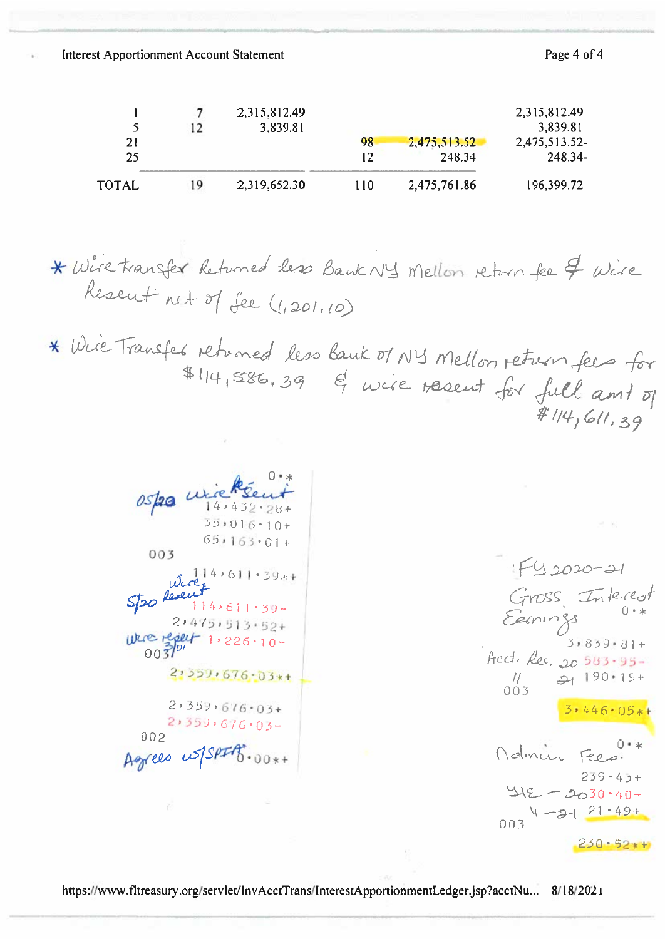**Interest Apportionment Account Statement** 

Page 4 of 4

|          |    | 2,315,812.49<br>3,839.81 |     |                        | 2,315,812.49<br>3,839.81 |
|----------|----|--------------------------|-----|------------------------|--------------------------|
| 21<br>25 |    |                          | 98  | 2,475,513.52<br>248.34 | 2,475,513.52-<br>248.34- |
| ГОТАІ.   | ۱9 | 2,319,652.30             | 110 | 2,475,761.86           | 196,399.72               |

\* Wire transfer Returned les Bank NY Mellon return fee & Wire Resent net of See (1,201,10)

\* Wie Transfer returned less bank of NY Mellon return fees for  $#114,586,39$  of wise resent for full and of  $# 114, 611, 39$ 

ospa wicksen  $35 \cdot 016 \cdot 10 +$  $65 \cdot 163 \cdot 01 +$ 003  $\omega$   $\alpha$ <sup>14,611.39\*+</sup>  $550$  Resent  $114,611.39$ - $2,475,513.52+$  $0.5701$  1, 226.10- $2,359,676.03*$  $2,359,676.03+$  $2,359,616.03-$ 002 Agrees us SPIFT.00x+

 $F_{42020-21}$ Gross Interest<br>Europes 0.\*<br>3,839.81+ Accl. Rec. 20 583-95- $3.446.05*$ Admin Fees.  $259 - 43 +$  $415 - 2030.40 1 - 3421 + 49 + 21.49 +$  $230.52*$ 

https://www.fltreasury.org/servlet/InvAcctTrans/InterestApportionmentLedger.jsp?acctNu... 8/18/2021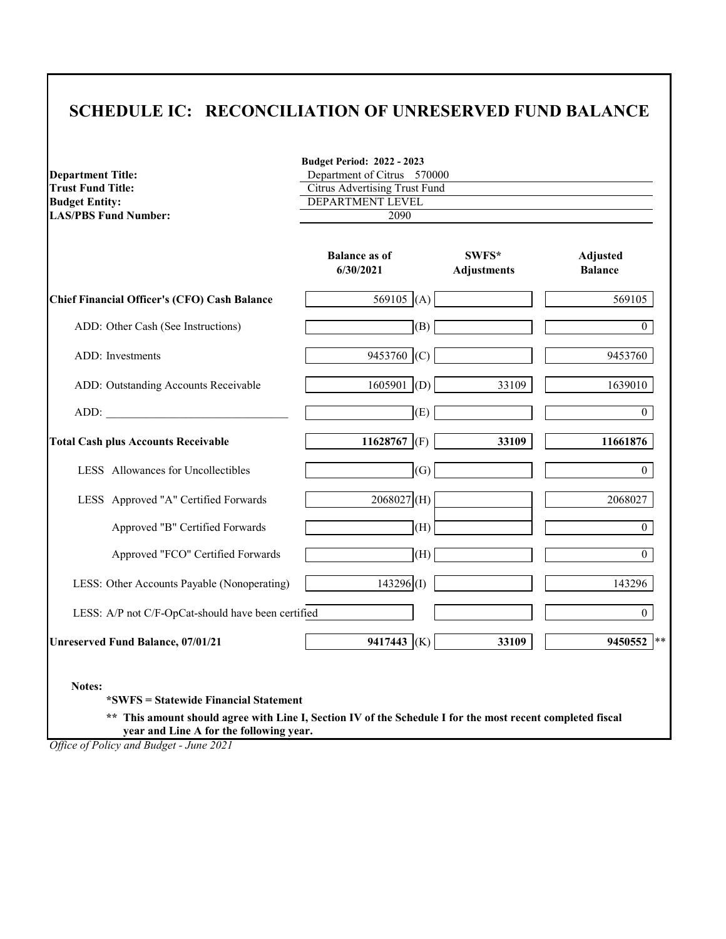### **SCHEDULE IC: RECONCILIATION OF UNRESERVED FUND BALANCE**

| <b>Trust Fund Title:</b><br><b>Budget Entity:</b>   | <b>Citrus Advertising Trust Fund</b><br>DEPARTMENT LEVEL |                             |                                   |  |
|-----------------------------------------------------|----------------------------------------------------------|-----------------------------|-----------------------------------|--|
| <b>LAS/PBS Fund Number:</b>                         | 2090                                                     |                             |                                   |  |
|                                                     | <b>Balance as of</b><br>6/30/2021                        | SWFS*<br><b>Adjustments</b> | <b>Adjusted</b><br><b>Balance</b> |  |
| <b>Chief Financial Officer's (CFO) Cash Balance</b> | 569105 (A)                                               |                             | 569105                            |  |
| ADD: Other Cash (See Instructions)                  | (B)                                                      |                             | $\theta$                          |  |
| <b>ADD</b> : Investments                            | 9453760 (C)                                              |                             | 9453760                           |  |
| ADD: Outstanding Accounts Receivable                | $1605901$ (D)                                            | 33109                       | 1639010                           |  |
| ADD:                                                | (E)                                                      |                             | $\overline{0}$                    |  |
| <b>Total Cash plus Accounts Receivable</b>          | 11628767 (F)                                             | 33109                       | 11661876                          |  |
| LESS Allowances for Uncollectibles                  | (G)                                                      |                             | $\overline{0}$                    |  |
| LESS Approved "A" Certified Forwards                | $2068027$ <sub>(H)</sub>                                 |                             | 2068027                           |  |
| Approved "B" Certified Forwards                     | (H)                                                      |                             | $\overline{0}$                    |  |
| Approved "FCO" Certified Forwards                   | (H)                                                      |                             | $\overline{0}$                    |  |
| LESS: Other Accounts Payable (Nonoperating)         | $143296$ <sub>(I)</sub>                                  |                             | 143296                            |  |
| LESS: A/P not C/F-OpCat-should have been certified  |                                                          |                             | $\overline{0}$                    |  |
| <b>Unreserved Fund Balance, 07/01/21</b>            | 9417443 (K)                                              | 33109                       | 9450552<br>$***$                  |  |

**\*\* This amount should agree with Line I, Section IV of the Schedule I for the most recent completed fiscal year and Line A for the following year.**

*Office of Policy and Budget - June 2021*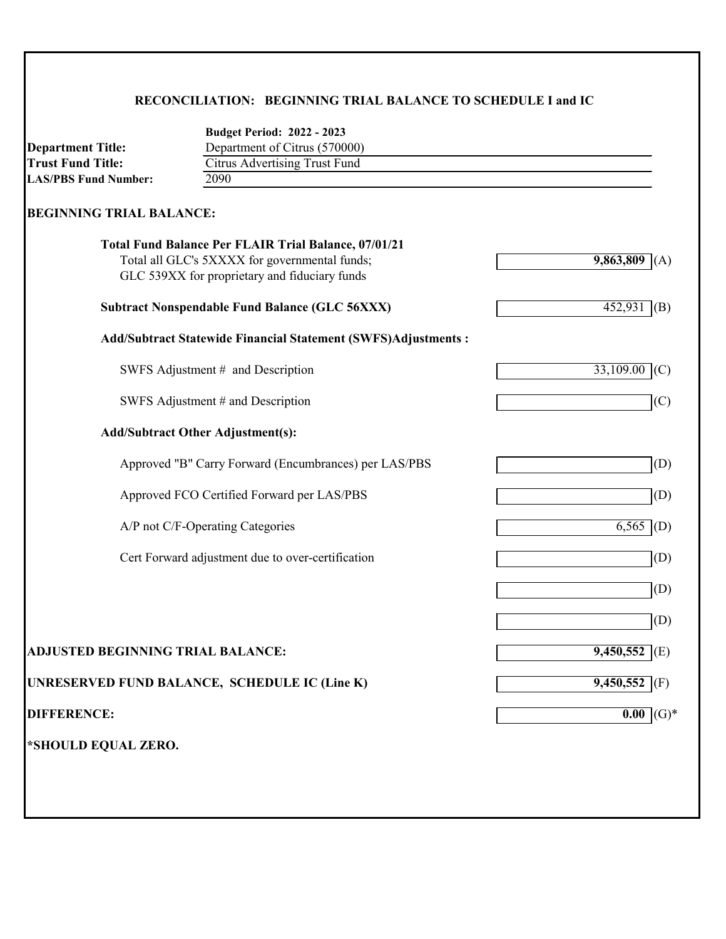### **RECONCILIATION: BEGINNING TRIAL BALANCE TO SCHEDULE I and IC**

| <b>Department Title:</b>                 | <b>Budget Period: 2022 - 2023</b><br>Department of Citrus (570000)                                                                                            |                  |
|------------------------------------------|---------------------------------------------------------------------------------------------------------------------------------------------------------------|------------------|
| <b>Trust Fund Title:</b>                 | <b>Citrus Advertising Trust Fund</b>                                                                                                                          |                  |
| <b>LAS/PBS Fund Number:</b>              | 2090                                                                                                                                                          |                  |
| <b>BEGINNING TRIAL BALANCE:</b>          |                                                                                                                                                               |                  |
|                                          | <b>Total Fund Balance Per FLAIR Trial Balance, 07/01/21</b><br>Total all GLC's 5XXXX for governmental funds;<br>GLC 539XX for proprietary and fiduciary funds | 9,863,809<br>(A) |
|                                          | <b>Subtract Nonspendable Fund Balance (GLC 56XXX)</b>                                                                                                         | 452,931<br>(B)   |
|                                          | <b>Add/Subtract Statewide Financial Statement (SWFS)Adjustments:</b>                                                                                          |                  |
|                                          | SWFS Adjustment # and Description                                                                                                                             | 33,109.00<br>(C) |
|                                          | SWFS Adjustment # and Description                                                                                                                             | (C)              |
|                                          | <b>Add/Subtract Other Adjustment(s):</b>                                                                                                                      |                  |
|                                          | Approved "B" Carry Forward (Encumbrances) per LAS/PBS                                                                                                         | (D)              |
|                                          | Approved FCO Certified Forward per LAS/PBS                                                                                                                    | (D)              |
|                                          | A/P not C/F-Operating Categories                                                                                                                              | (D)<br>6,565     |
|                                          | Cert Forward adjustment due to over-certification                                                                                                             | (D)              |
|                                          |                                                                                                                                                               | (D)              |
|                                          |                                                                                                                                                               | (D)              |
| <b>ADJUSTED BEGINNING TRIAL BALANCE:</b> |                                                                                                                                                               | 9,450,552 (E)    |
|                                          | UNRESERVED FUND BALANCE, SCHEDULE IC (Line K)                                                                                                                 | 9,450,552 $(F)$  |
| <b>DIFFERENCE:</b>                       |                                                                                                                                                               | $(G)*$<br>0.00   |
| *SHOULD EQUAL ZERO.                      |                                                                                                                                                               |                  |
|                                          |                                                                                                                                                               |                  |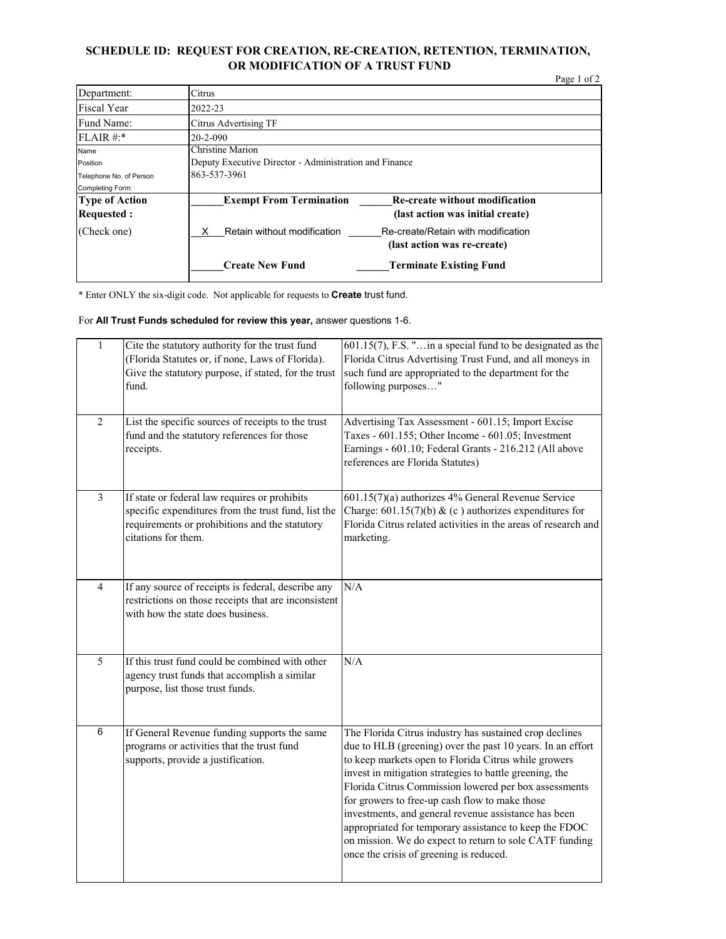#### **SCHEDULE ID: REQUEST FOR CREATION, RE-CREATION, RETENTION, TERMINATION, OR MODIFICATION OF A TRUST FUND**

|                                            |                                                                                                             | Page 1 of 2 |  |
|--------------------------------------------|-------------------------------------------------------------------------------------------------------------|-------------|--|
| Department:                                | Citrus                                                                                                      |             |  |
| <b>Fiscal Year</b>                         | 2022-23                                                                                                     |             |  |
| Fund Name:                                 | <b>Citrus Advertising TF</b>                                                                                |             |  |
| FLAIR #:*                                  | $20 - 2 - 090$                                                                                              |             |  |
| Name                                       | <b>Christine Marion</b>                                                                                     |             |  |
| Position                                   | Deputy Executive Director - Administration and Finance                                                      |             |  |
| Telephone No. of Person                    | 863-537-3961                                                                                                |             |  |
| Completing Form:                           |                                                                                                             |             |  |
| <b>Type of Action</b><br><b>Requested:</b> | <b>Exempt From Termination</b><br><b>Re-create without modification</b><br>(last action was initial create) |             |  |
| (Check one)                                | Retain without modification<br>Re-create/Retain with modification<br>(last action was re-create)            |             |  |
|                                            | <b>Create New Fund</b><br><b>Terminate Existing Fund</b>                                                    |             |  |

\* Enter ONLY the six-digit code. Not applicable for requests to **Create** trust fund.

For **All Trust Funds scheduled for review this year,** answer questions 1-6.

| $\mathbf{1}$   | Cite the statutory authority for the trust fund<br>(Florida Statutes or, if none, Laws of Florida).<br>Give the statutory purpose, if stated, for the trust<br>fund.          | $601.15(7)$ , F.S. "in a special fund to be designated as the<br>Florida Citrus Advertising Trust Fund, and all moneys in<br>such fund are appropriated to the department for the<br>following purposes"                                                                                                                                                                                                                                                                                                                                                                    |
|----------------|-------------------------------------------------------------------------------------------------------------------------------------------------------------------------------|-----------------------------------------------------------------------------------------------------------------------------------------------------------------------------------------------------------------------------------------------------------------------------------------------------------------------------------------------------------------------------------------------------------------------------------------------------------------------------------------------------------------------------------------------------------------------------|
| $\overline{2}$ | List the specific sources of receipts to the trust<br>fund and the statutory references for those<br>receipts.                                                                | Advertising Tax Assessment - 601.15; Import Excise<br>Taxes - 601.155; Other Income - 601.05; Investment<br>Earnings - 601.10; Federal Grants - 216.212 (All above<br>references are Florida Statutes)                                                                                                                                                                                                                                                                                                                                                                      |
| $\overline{3}$ | If state or federal law requires or prohibits<br>specific expenditures from the trust fund, list the<br>requirements or prohibitions and the statutory<br>citations for them. | $601.15(7)(a)$ authorizes 4% General Revenue Service<br>Charge: $601.15(7)(b)$ & (c) authorizes expenditures for<br>Florida Citrus related activities in the areas of research and<br>marketing.                                                                                                                                                                                                                                                                                                                                                                            |
| $\overline{4}$ | If any source of receipts is federal, describe any<br>restrictions on those receipts that are inconsistent<br>with how the state does business.                               | N/A                                                                                                                                                                                                                                                                                                                                                                                                                                                                                                                                                                         |
| 5              | If this trust fund could be combined with other<br>agency trust funds that accomplish a similar<br>purpose, list those trust funds.                                           | N/A                                                                                                                                                                                                                                                                                                                                                                                                                                                                                                                                                                         |
| $\,6$          | If General Revenue funding supports the same<br>programs or activities that the trust fund<br>supports, provide a justification.                                              | The Florida Citrus industry has sustained crop declines<br>due to HLB (greening) over the past 10 years. In an effort<br>to keep markets open to Florida Citrus while growers<br>invest in mitigation strategies to battle greening, the<br>Florida Citrus Commission lowered per box assessments<br>for growers to free-up cash flow to make those<br>investments, and general revenue assistance has been<br>appropriated for temporary assistance to keep the FDOC<br>on mission. We do expect to return to sole CATF funding<br>once the crisis of greening is reduced. |